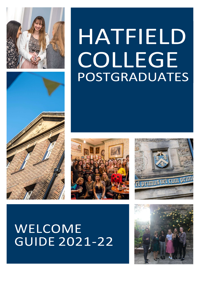



# HATFIELD COLLEGE POSTGRADUATES





# WELCOME **GUIDE 2021-22**

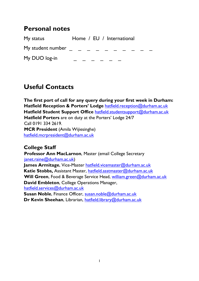#### Personal notes

My status **Home** / EU / International My student number  $\qquad \qquad - \qquad -$ My DUO log-in

# Useful Contacts

The first port of call for any query during your first week in Durham: Hatfield Reception & Porters' Lodge hatfield.reception@durham.ac.uk Hatfield Student Support Office hatfield.studentsupport@durham.ac.uk Hatfield Porters are on duty at the Porters' Lodge 24/7 Call 0191 334 2619. MCR President (Amila Wijiesinghe) hatfield.mcrpresident@durham.ac.uk

#### College Staff

Professor Ann MacLarnon, Master (email College Secretary janet.raine@durham.ac.uk)

James Armitage, Vice-Master hatfield.vicemaster@durham.ac.uk Katie Stobbs, Assistant Master, hatfield.asstmaster@durham.ac.uk Will Green, Food & Beverage Service Head, william.green@durham.ac.uk David Embleton, College Operations Manager, hatfield.services@durham.ac.uk

Susan Noble, Finance Officer, susan.noble@durham.ac.uk Dr Kevin Sheehan, Librarian, hatfield.library@durham.ac.uk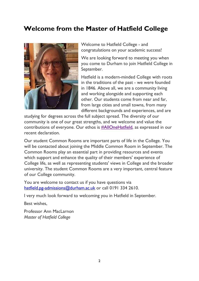### Welcome from the Master of Hatfield College



Welcome to Hatfield College - and congratulations on your academic success!

We are looking forward to meeting you when you come to Durham to join Hatfield College in September.

Hatfield is a modern-minded College with roots in the traditions of the past - we were founded in 1846. Above all, we are a community living and working alongside and supporting each other. Our students come from near and far, from large cities and small towns, from many different backgrounds and experiences, and are

studying for degrees across the full subject spread. The diversity of our community is one of our great strengths, and we welcome and value the contributions of everyone. Our ethos is #AllOneHatfield, as expressed in our recent declaration.

Our student Common Rooms are important parts of life in the College. You will be contacted about joining the Middle Common Room in September. The Common Rooms play an essential part in providing resources and events which support and enhance the quality of their members' experience of College life, as well as representing students' views in College and the broader university. The student Common Rooms are a very important, central feature of our College community.

You are welcome to contact us if you have questions via hatfield.pg-admissions@durham.ac.uk or call 0191 334 2610.

I very much look forward to welcoming you in Hatfield in September.

Best wishes,

Professor Ann MacLarnon Master of Hatfield College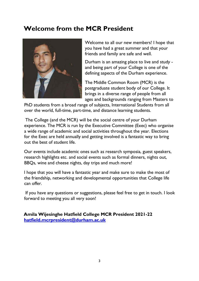# Welcome from the MCR President



Welcome to all our new members! I hope that you have had a great summer and that your friends and family are safe and well.

Durham is an amazing place to live and study and being part of your College is one of the defining aspects of the Durham experience.

The Middle Common Room (MCR) is the postgraduate student body of our College. It brings in a diverse range of people from all ages and backgrounds ranging from Masters to

PhD students from a broad range of subjects, International Students from all over the world, full-time, part-time, and distance learning students.

 The College (and the MCR) will be the social centre of your Durham experience. The MCR is run by the Executive Committee (Exec) who organise a wide range of academic and social activities throughout the year. Elections for the Exec are held annually and getting involved is a fantastic way to bring out the best of student life.

Our events include academic ones such as research symposia, guest speakers, research highlights etc. and social events such as formal dinners, nights out, BBQs, wine and cheese nights, day trips and much more!

I hope that you will have a fantastic year and make sure to make the most of the friendship, networking and developmental opportunities that College life can offer.

 If you have any questions or suggestions, please feel free to get in touch. I look forward to meeting you all very soon!

Amila Wijesinghe Hatfield College MCR President 2021-22 hatfield.mcrpresident@durham.ac.uk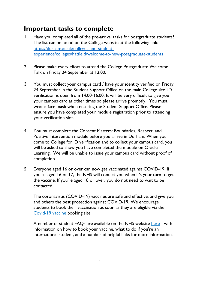#### Important tasks to complete

- 1. Have you completed all of the pre-arrival tasks for postgraduate students? The list can be found on the College website at the following link: https://durham.ac.uk/colleges-and-studentexperience/colleges/hatfield/welcome-to-new-postgraduate-students
- 2. Please make every effort to attend the College Postgraduate Welcome Talk on Friday 24 September at 13.00.
- 3. You must collect your campus card / have your identity verified on Friday 24 September in the Student Support Office on the main College site. ID verification is open from 14.00-16.00. It will be very difficult to give you your campus card at other times so please arrive promptly. You must wear a face mask when entering the Student Support Office. Please ensure you have completed your module registration prior to attending your verification slot.
- 4. You must complete the Consent Matters: Boundaries, Respect, and Positive Intervention module before you arrive in Durham. When you come to College for ID verification and to collect your campus card, you will be asked to show you have completed the module on Oracle Learning. We will be unable to issue your campus card without proof of completion.
- 5. Everyone aged 16 or over can now get vaccinated against COVID-19. If you're aged 16 or 17, the NHS will contact you when it's your turn to get the vaccine. If you're aged 18 or over, you do not need to wait to be contacted.

The coronavirus (COVID-19) vaccines are safe and effective, and give you and others the best protection against COVID-19. We encourage students to book their vaccination as soon as they are eligible via the Covid-19 vaccine booking site.

A number of student FAQs are available on the NHS website here - with information on how to book your vaccine, what to do if you're an international student, and a number of helpful links for more information.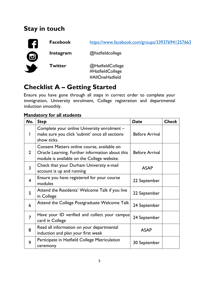# Stay in touch



Facebook https://www.facebook.com/groups/339376941257663

Instagram @hatfieldcollege

Twitter @HatfieldCollege #HatfieldCollege #AllOneHatfield

# Checklist A – Getting Started

Ensure you have gone through all steps in correct order to complete your immigration, University enrolment, College registration and departmental induction smoothly.

#### **Mandatory for all students**

| No.            | <b>Step</b>                                                                                                                                   | <b>Date</b>           | <b>Check</b> |
|----------------|-----------------------------------------------------------------------------------------------------------------------------------------------|-----------------------|--------------|
|                | Complete your online University enrolment -<br>make sure you click 'submit' once all sections<br>show ticks.                                  | <b>Before Arrival</b> |              |
| $\overline{2}$ | Consent Matters online course, available on<br>Oracle Learning. Further information about this<br>module is available on the College website. | <b>Before Arrival</b> |              |
| 3              | Check that your Durham University e-mail<br>account is up and running                                                                         | <b>ASAP</b>           |              |
| $\overline{4}$ | Ensure you have registered for your course<br>modules                                                                                         | 22 September          |              |
| 5              | Attend the Residents' Welcome Talk if you live<br>in College                                                                                  | 22 September          |              |
| 6              | Attend the College Postgraduate Welcome Talk                                                                                                  | 24 September          |              |
| 7              | Have your ID verified and collect your campus<br>card in College                                                                              | 24 September          |              |
| 8              | Read all information on your departmental<br>induction and plan your first week                                                               | <b>ASAP</b>           |              |
| 9              | Participate in Hatfield College Matriculation<br>ceremony                                                                                     | 30 September          |              |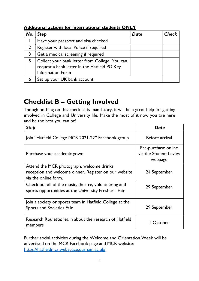| No.            | <b>Step</b>                                                                                                               | Date | Check |
|----------------|---------------------------------------------------------------------------------------------------------------------------|------|-------|
|                | Have your passport and visa checked                                                                                       |      |       |
| 2 <sup>1</sup> | Register with local Police if required                                                                                    |      |       |
|                | Get a medical screening if required                                                                                       |      |       |
|                | Collect your bank letter from College. You can<br>request a bank letter in the Hatfield PG Key<br><b>Information Form</b> |      |       |
| 6              | Set up your UK bank account                                                                                               |      |       |

Additional actions for international students ONLY

### Checklist B – Getting Involved

Though nothing on this checklist is mandatory, it will be a great help for getting involved in College and University life. Make the most of it now you are here and be the best you can be!

| <b>Step</b>                                                                                                                | Date                                                     |  |
|----------------------------------------------------------------------------------------------------------------------------|----------------------------------------------------------|--|
| Join "Hatfield College MCR 2021-22" Facebook group                                                                         | Before arrival                                           |  |
| Purchase your academic gown                                                                                                | Pre-purchase online<br>via the Student Levies<br>webpage |  |
| Attend the MCR photograph, welcome drinks<br>reception and welcome dinner. Register on our website<br>via the online form. | 24 September                                             |  |
| Check out all of the music, theatre, volunteering and<br>sports opportunities at the University Freshers' Fair             | 29 September                                             |  |
| Join a society or sports team in Hatfield College at the<br>Sports and Societies Fair                                      | 29 September                                             |  |
| Research Roulette: learn about the research of Hatfield<br>members                                                         | l October                                                |  |

Further social activities during the Welcome and Orientation Week will be advertised on the MCR Facebook page and MCR website: https://hatfieldmcr.webspace.durham.ac.uk/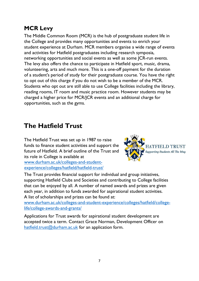### MCR Levy

The Middle Common Room (MCR) is the hub of postgraduate student life in the College and provides many opportunities and events to enrich your student experience at Durham. MCR members organise a wide range of events and activities for Hatfield postgraduates including research symposia, networking opportunities and social events as well as some JCR-run events. The levy also offers the chance to participate in Hatfield sport, music, drama, volunteering, arts and much more. This is a one-off payment for the duration of a student's period of study for their postgraduate course. You have the right to opt out of this charge if you do not wish to be a member of the MCR. Students who opt out are still able to use College facilities including the library, reading rooms, IT room and music practice room. However students may be charged a higher price for MCR/JCR events and an additional charge for opportunities, such as the gyms.

# The Hatfield Trust

The Hatfield Trust was set up in 1987 to raise funds to finance student activities and support the future of Hatfield. A brief outline of the Trust and its role in College is available at

www.durham.ac.uk/colleges-and-studentexperience/colleges/hatfield/hatfield-trust/



The Trust provides financial support for individual and group initiatives, supporting Hatfield Clubs and Societies and contributing to College facilities that can be enjoyed by all. A number of named awards and prizes are given each year, in addition to funds awarded for aspirational student activities. A list of scholarships and prizes can be found at:

www.durham.ac.uk/colleges-and-student-experience/colleges/hatfield/collegelife/college-awards-and-grants/

Applications for Trust awards for aspirational student development are accepted twice a term. Contact Grace Norman, Development Officer on hatfield.trust@durham.ac.uk for an application form.